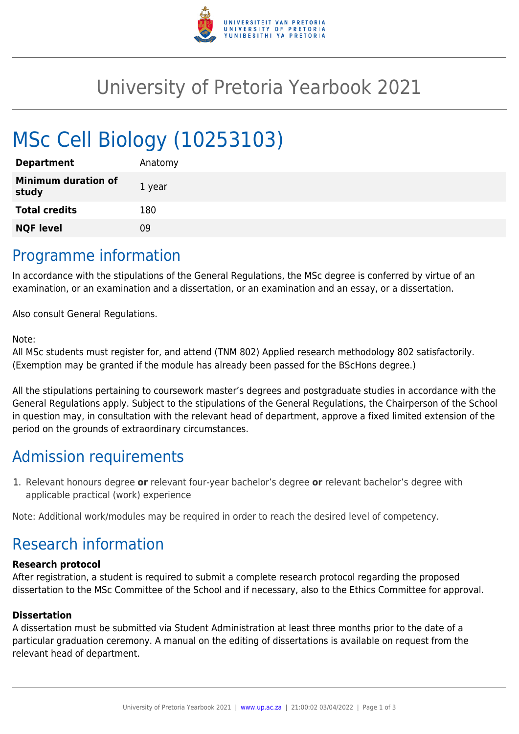

## University of Pretoria Yearbook 2021

# MSc Cell Biology (10253103)

| <b>Department</b>                   | Anatomy |
|-------------------------------------|---------|
| <b>Minimum duration of</b><br>study | 1 year  |
| <b>Total credits</b>                | 180     |
| <b>NQF level</b>                    | 09      |
|                                     |         |

### Programme information

In accordance with the stipulations of the General Regulations, the MSc degree is conferred by virtue of an examination, or an examination and a dissertation, or an examination and an essay, or a dissertation.

Also consult General Regulations.

#### Note:

All MSc students must register for, and attend (TNM 802) Applied research methodology 802 satisfactorily. (Exemption may be granted if the module has already been passed for the BScHons degree.)

All the stipulations pertaining to coursework master's degrees and postgraduate studies in accordance with the General Regulations apply. Subject to the stipulations of the General Regulations, the Chairperson of the School in question may, in consultation with the relevant head of department, approve a fixed limited extension of the period on the grounds of extraordinary circumstances.

## Admission requirements

1. Relevant honours degree **or** relevant four-year bachelor's degree **or** relevant bachelor's degree with applicable practical (work) experience

Note: Additional work/modules may be required in order to reach the desired level of competency.

## Research information

#### **Research protocol**

After registration, a student is required to submit a complete research protocol regarding the proposed dissertation to the MSc Committee of the School and if necessary, also to the Ethics Committee for approval.

#### **Dissertation**

A dissertation must be submitted via Student Administration at least three months prior to the date of a particular graduation ceremony. A manual on the editing of dissertations is available on request from the relevant head of department.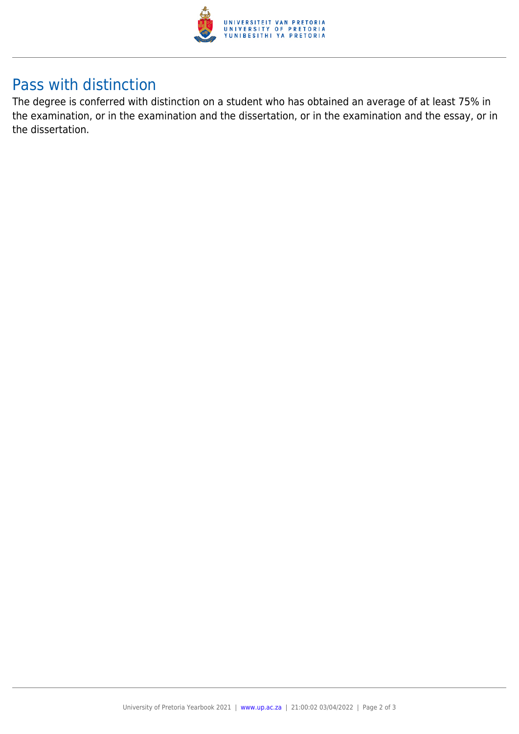

## Pass with distinction

The degree is conferred with distinction on a student who has obtained an average of at least 75% in the examination, or in the examination and the dissertation, or in the examination and the essay, or in the dissertation.